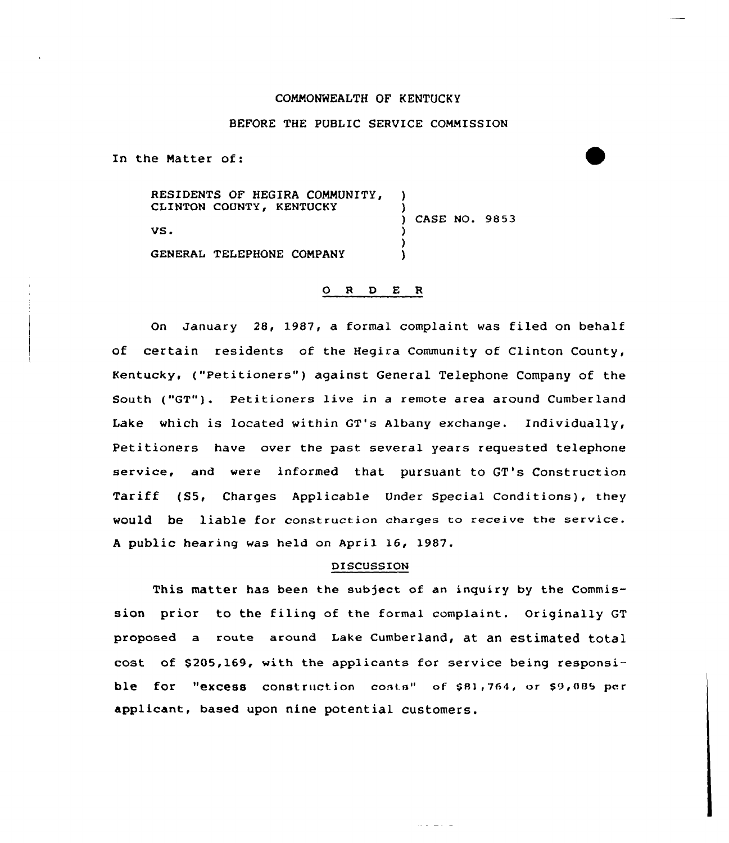#### CONNONWEALTH OF KENTUCKY

# BEFORE THE PUBLIC SERVICE COMMISSION

In the Natter of:

RESIDENTS OF HEGIRA COMMUNITY, CLINTON COUNTY, KENTUCKY VS. GENERAL TELEPHONE CONPANY ) ) ) CASE NO. 9853 ) ) )

### 0 <sup>R</sup> <sup>D</sup> E <sup>R</sup>

On January 28, 1987, a formal complaint was filed on behalf of certain residents of the Hegira Community of Clinton County, Kentucky, ("Petitioners" ) against General Telephone Company of the South ("GT"). Petitioners live in a remote area around Cumberland Lake which is located within GT's Albany exchange. Individually, Petitioners have over the past several years requested telephone service, and were informed that pursuant to GT's Construction Tariff (S5, Charges Applicable Under Special Conditions), they would be liable for construction charges to receive the service. <sup>A</sup> public hearing was held on April 16, 1987.

## DISCUSSION

This matter has been the subject of an inquiry by the Commission prior to the filing of the formal complaint. Originally GT proposed a route around Lake Cumberland, at an estimated total cost of \$205,169, with the applicants for service being responsible for "excess construction costs" of  $$81,764$ , or  $$9,085$  per applicant, based upon nine potential customers.

والمواليات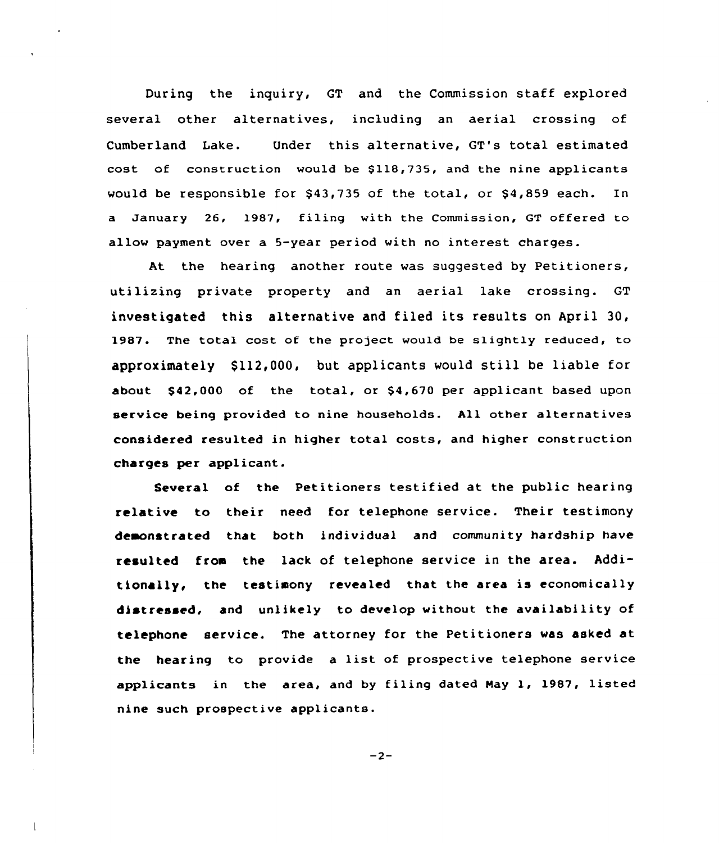During the inquiry, GT and the Commission staff explored several other alternatives, including an aerial crossing of Cumberland Lake. Under this alternative, GT's total estimated cost of construction would be \$118,735, and the nine applicants would be responsible for  $$43,735$  of the total, or  $$4,859$  each. In a January 26, 1987, filing with the Commission, GT offered to allow payment over a 5-year period with no interest charges.

At the hearing another route was suggested by Petitioners, utilizing private property and an aerial lake crossing. GT investigated this alternative and filed its results on April 30, 1987. The total cost of the project would be slightly reduced, to approximately \$112,000, but applicants would still be liable for about \$ 42,000 of the total, or \$4,670 per applicant based upon service being provided to nine households. All other alternatives considered resulted in higher total costs, and higher construction charges per applicant.

Several of the Petitioners testified at the public hearing relative to their need for telephone service. Their testimony deaonstrated that both individual and community hardship have resulted froa the lack of telephone service in the area. Additionally, the testimony revealed that the area is economically distressed, and unlikely to develop without the availability of telephone service. The attorney for the Petitioners was asked at the hearing to provide a list of prospective telephone service applicants in the area, and by filing dated Nay 1, 1987, listed nine such prospective applicants.

 $-2-$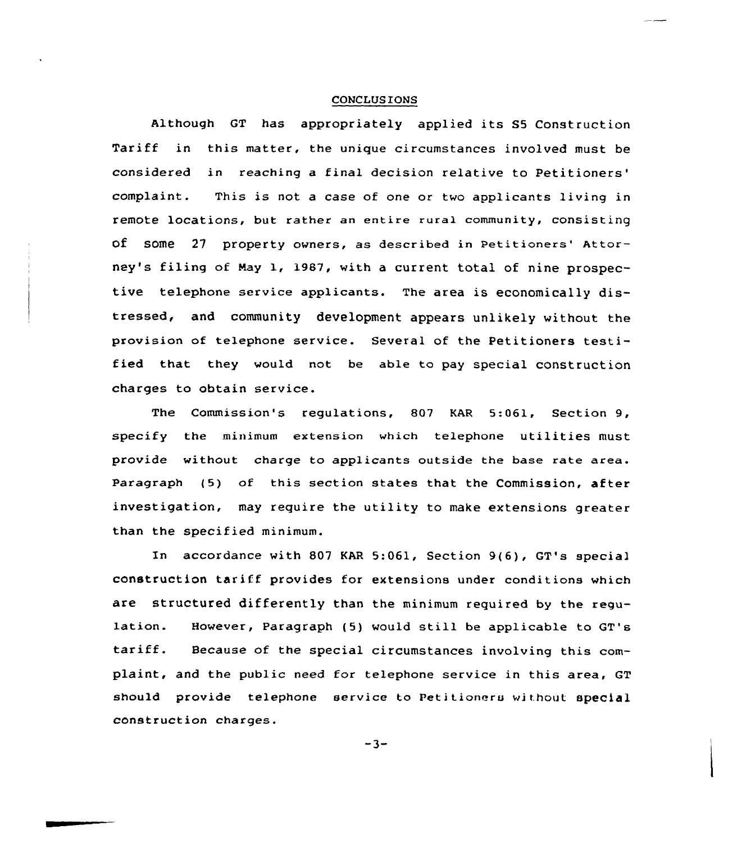# **CONCLUSIONS**

although GT has appropriately applied its S5 Construction Tariff in this matter, the unique circumstances involved must be considered in reaching a final decision relative to This is not <sup>a</sup> case of one or two applicants living in complaint. remote locations, but rather an entire rural community, consisting of some  $27$  property owners, as described in Petitioners' Attorney's filing of May 1, 1987, with a current total of nine prospective telephone service applicants. The area is economically distressed, and community development appears unlikely without the provision of telephone service. Several of the Petitioners testified that they would not be able to pay special construction charges to obtain service.

The Commission's regulations, 807 KAR 5:061, Section 9, specify the minimum extension which telephone utilities must provide without charge to applicants outside the base rate area. Paragraph (5) of this section states that the Commission, after investigation, may require the utility to make extensions greater than the specified minimum.

In accordance with 807 EAR 5:061, Section 9(6), GT's special construction tariff provides for extensions under conditions which are structured differently than the minimum required by the regulation. However, Paragraph (5) would still be applicable to GT's tariff. Because of the special circumstances involving this complaint, and the public need for telephone service in this area, GT should provide telephone service to Petitioners without special construction charges.

 $-3-$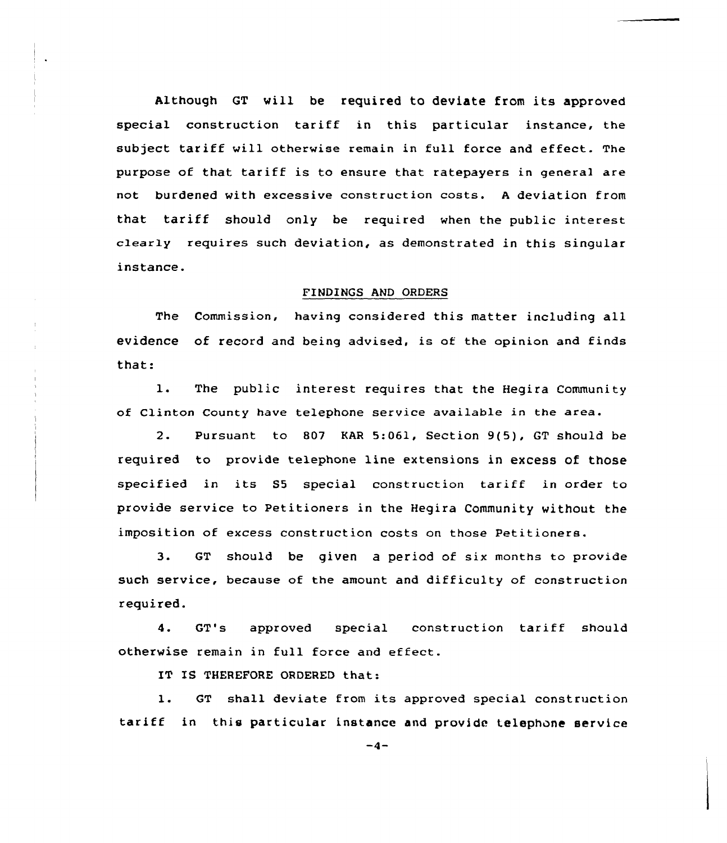Although GT will be required to deviate from its approved special construction tariff in this particular instance, the subject tariff vill otherwise remain in full force and effect. The purpose of that tariff is to ensure that ratepayers in general are not burdened with excessive construction costs. <sup>A</sup> deviation from that tariff should only be required vhen the public interest clearly requires such deviation, as demonstrated in this singular instance.

#### FINDINGS AND ORDERS

The Commission, having considered this matter including all evidence of record and being advised, is of the opinion and finds that:

1. The public interest requires that the Hegira Community of Clinton County have telephone service available in the area.

2. Pursuant to 807 KAR 5:061, Section 9(5), GT should be required to provide telephone line extensions in excess of those specified in its SS special construction tariff in order to provide service to Petitioners in the Hegira Community without the imposition of excess construction costs on those Petitioners.

3. GT should be given a period of six months to provide such service, because of the amount and difficulty of construction required.

4. GT's approved special construction tariff should otherwise remain in full force and effect.

IT IS THEREFORE ORDERED that:

1. GT shall deviate from its approved special construction tariff in this particular instance and provide telephone service

 $-4-$